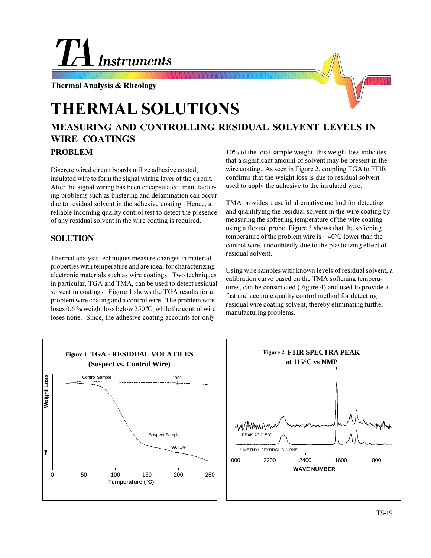## **Instruments**

**Thermal Analysis & Rheology**

## **THERMAL SOLUTIONS**

## **MEASURING AND CONTROLLING RESIDUAL SOLVENT LEVELS IN WIRE COATINGS PROBLEM**

Discrete wired circuit boards utilize adhesive coated, insulated wire to form the signal wiring layer of the circuit. After the signal wiring has been encapsulated, manufacturing problems such as blistering and delamination can occur due to residual solvent in the adhesive coating. Hence, a reliable incoming quality control test to detect the presence of any residual solvent in the wire coating is required.

## **SOLUTION**

Thermal analysis techniques measure changes in material properties with temperature and are ideal for characterizing electronic materials such as wire coatings. Two techniques in particular, TGA and TMA, can be used to detect residual solvent in coatings. Figure 1 shows the TGA results for a problem wire coating and a control wire. The problem wire loses 0.6 % weight loss below 250°C, while the control wire loses none. Since, the adhesive coating accounts for only

10% of the total sample weight, this weight loss indicates that a significant amount of solvent may be present in the wire coating. As seen in Figure 2, coupling TGA to FTIR confirms that the weight loss is due to residual solvent used to apply the adhesive to the insulated wire.

TMA provides a useful alternative method for detecting and quantifying the residual solvent in the wire coating by measuring the softening temperature of the wire coating using a flexual probe. Figure 3 shows that the softening temperature of the problem wire is  $\sim$  40 $\degree$ C lower than the control wire, undoubtedly due to the plasticizing effect of residual solvent.

Using wire samples with known levels of residual solvent, a calibration curve based on the TMA softening temperatures, can be constructed (Figure 4) and used to provide a fast and accurate quality control method for detecting residual wire coating solvent, thereby eliminating further manufacturing problems.